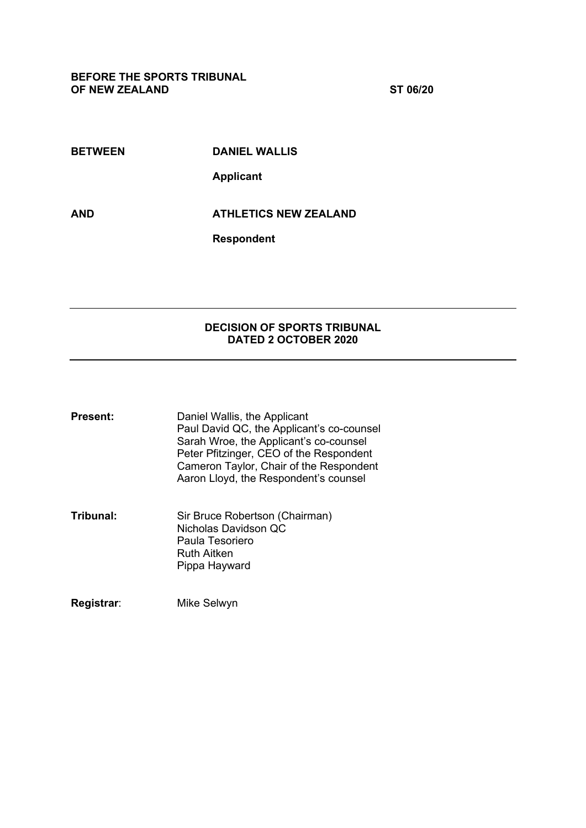**BETWEEN DANIEL WALLIS**

**Applicant**

**AND ATHLETICS NEW ZEALAND**

**Respondent**

## **DECISION OF SPORTS TRIBUNAL DATED 2 OCTOBER 2020**

| Present: | Daniel Wallis, the Applicant              |
|----------|-------------------------------------------|
|          | Paul David QC, the Applicant's co-counsel |
|          | Sarah Wroe, the Applicant's co-counsel    |
|          | Peter Pfitzinger, CEO of the Respondent   |
|          | Cameron Taylor, Chair of the Respondent   |
|          | Aaron Lloyd, the Respondent's counsel     |
|          |                                           |
|          |                                           |

**Tribunal:** Sir Bruce Robertson (Chairman) Nicholas Davidson QC Paula Tesoriero Ruth Aitken Pippa Hayward

**Registrar**: Mike Selwyn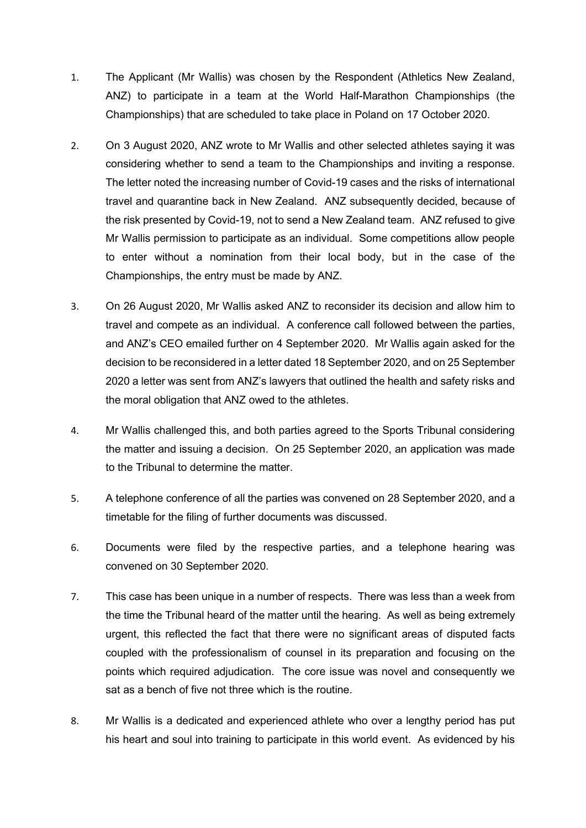- 1. The Applicant (Mr Wallis) was chosen by the Respondent (Athletics New Zealand, ANZ) to participate in a team at the World Half-Marathon Championships (the Championships) that are scheduled to take place in Poland on 17 October 2020.
- 2. On 3 August 2020, ANZ wrote to Mr Wallis and other selected athletes saying it was considering whether to send a team to the Championships and inviting a response. The letter noted the increasing number of Covid-19 cases and the risks of international travel and quarantine back in New Zealand. ANZ subsequently decided, because of the risk presented by Covid-19, not to send a New Zealand team. ANZ refused to give Mr Wallis permission to participate as an individual. Some competitions allow people to enter without a nomination from their local body, but in the case of the Championships, the entry must be made by ANZ.
- 3. On 26 August 2020, Mr Wallis asked ANZ to reconsider its decision and allow him to travel and compete as an individual. A conference call followed between the parties, and ANZ's CEO emailed further on 4 September 2020. Mr Wallis again asked for the decision to be reconsidered in a letter dated 18 September 2020, and on 25 September 2020 a letter was sent from ANZ's lawyers that outlined the health and safety risks and the moral obligation that ANZ owed to the athletes.
- 4. Mr Wallis challenged this, and both parties agreed to the Sports Tribunal considering the matter and issuing a decision. On 25 September 2020, an application was made to the Tribunal to determine the matter.
- 5. A telephone conference of all the parties was convened on 28 September 2020, and a timetable for the filing of further documents was discussed.
- 6. Documents were filed by the respective parties, and a telephone hearing was convened on 30 September 2020.
- 7. This case has been unique in a number of respects. There was less than a week from the time the Tribunal heard of the matter until the hearing. As well as being extremely urgent, this reflected the fact that there were no significant areas of disputed facts coupled with the professionalism of counsel in its preparation and focusing on the points which required adjudication. The core issue was novel and consequently we sat as a bench of five not three which is the routine.
- 8. Mr Wallis is a dedicated and experienced athlete who over a lengthy period has put his heart and soul into training to participate in this world event. As evidenced by his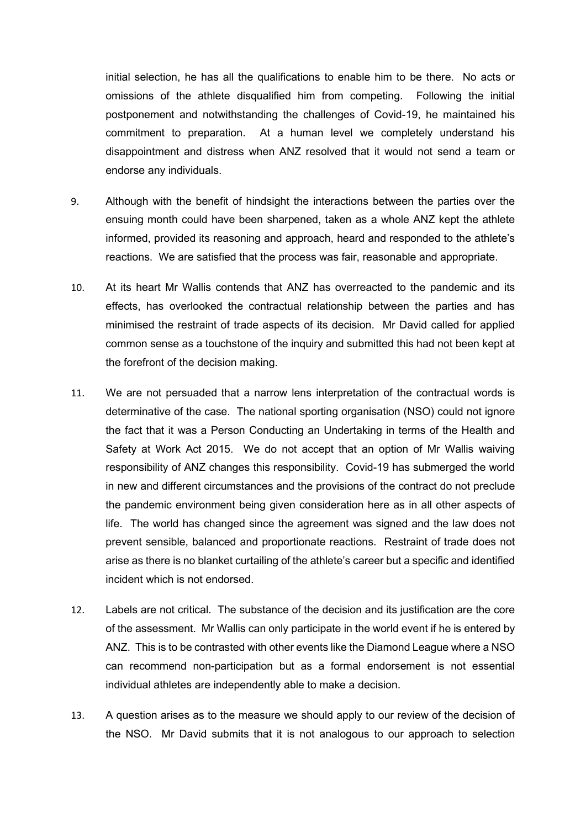initial selection, he has all the qualifications to enable him to be there. No acts or omissions of the athlete disqualified him from competing. Following the initial postponement and notwithstanding the challenges of Covid-19, he maintained his commitment to preparation. At a human level we completely understand his disappointment and distress when ANZ resolved that it would not send a team or endorse any individuals.

- 9. Although with the benefit of hindsight the interactions between the parties over the ensuing month could have been sharpened, taken as a whole ANZ kept the athlete informed, provided its reasoning and approach, heard and responded to the athlete's reactions. We are satisfied that the process was fair, reasonable and appropriate.
- 10. At its heart Mr Wallis contends that ANZ has overreacted to the pandemic and its effects, has overlooked the contractual relationship between the parties and has minimised the restraint of trade aspects of its decision. Mr David called for applied common sense as a touchstone of the inquiry and submitted this had not been kept at the forefront of the decision making.
- 11. We are not persuaded that a narrow lens interpretation of the contractual words is determinative of the case. The national sporting organisation (NSO) could not ignore the fact that it was a Person Conducting an Undertaking in terms of the Health and Safety at Work Act 2015. We do not accept that an option of Mr Wallis waiving responsibility of ANZ changes this responsibility. Covid-19 has submerged the world in new and different circumstances and the provisions of the contract do not preclude the pandemic environment being given consideration here as in all other aspects of life. The world has changed since the agreement was signed and the law does not prevent sensible, balanced and proportionate reactions. Restraint of trade does not arise as there is no blanket curtailing of the athlete's career but a specific and identified incident which is not endorsed.
- 12. Labels are not critical. The substance of the decision and its justification are the core of the assessment. Mr Wallis can only participate in the world event if he is entered by ANZ. This is to be contrasted with other events like the Diamond League where a NSO can recommend non-participation but as a formal endorsement is not essential individual athletes are independently able to make a decision.
- 13. A question arises as to the measure we should apply to our review of the decision of the NSO. Mr David submits that it is not analogous to our approach to selection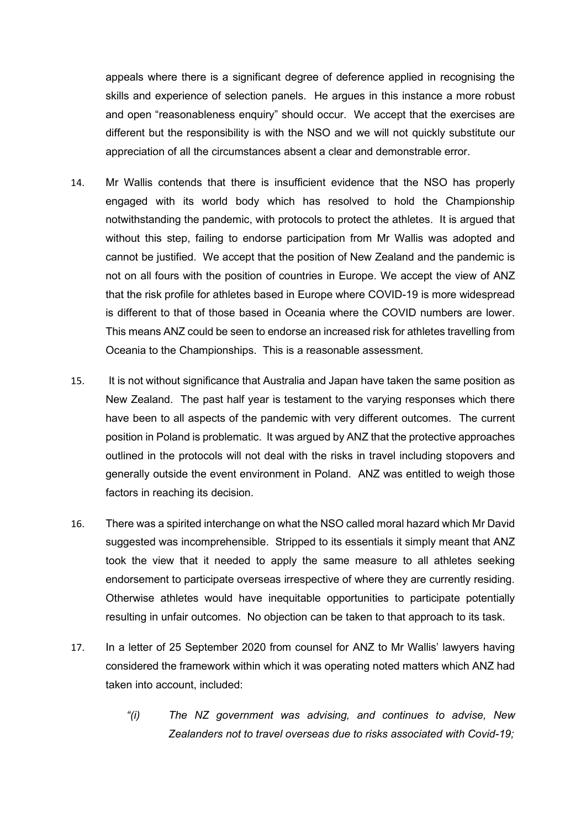appeals where there is a significant degree of deference applied in recognising the skills and experience of selection panels. He argues in this instance a more robust and open "reasonableness enquiry" should occur. We accept that the exercises are different but the responsibility is with the NSO and we will not quickly substitute our appreciation of all the circumstances absent a clear and demonstrable error.

- 14. Mr Wallis contends that there is insufficient evidence that the NSO has properly engaged with its world body which has resolved to hold the Championship notwithstanding the pandemic, with protocols to protect the athletes. It is argued that without this step, failing to endorse participation from Mr Wallis was adopted and cannot be justified. We accept that the position of New Zealand and the pandemic is not on all fours with the position of countries in Europe. We accept the view of ANZ that the risk profile for athletes based in Europe where COVID-19 is more widespread is different to that of those based in Oceania where the COVID numbers are lower. This means ANZ could be seen to endorse an increased risk for athletes travelling from Oceania to the Championships. This is a reasonable assessment.
- 15. It is not without significance that Australia and Japan have taken the same position as New Zealand. The past half year is testament to the varying responses which there have been to all aspects of the pandemic with very different outcomes. The current position in Poland is problematic. It was argued by ANZ that the protective approaches outlined in the protocols will not deal with the risks in travel including stopovers and generally outside the event environment in Poland. ANZ was entitled to weigh those factors in reaching its decision.
- 16. There was a spirited interchange on what the NSO called moral hazard which Mr David suggested was incomprehensible. Stripped to its essentials it simply meant that ANZ took the view that it needed to apply the same measure to all athletes seeking endorsement to participate overseas irrespective of where they are currently residing. Otherwise athletes would have inequitable opportunities to participate potentially resulting in unfair outcomes. No objection can be taken to that approach to its task.
- 17. In a letter of 25 September 2020 from counsel for ANZ to Mr Wallis' lawyers having considered the framework within which it was operating noted matters which ANZ had taken into account, included:
	- *"(i) The NZ government was advising, and continues to advise, New Zealanders not to travel overseas due to risks associated with Covid-19;*